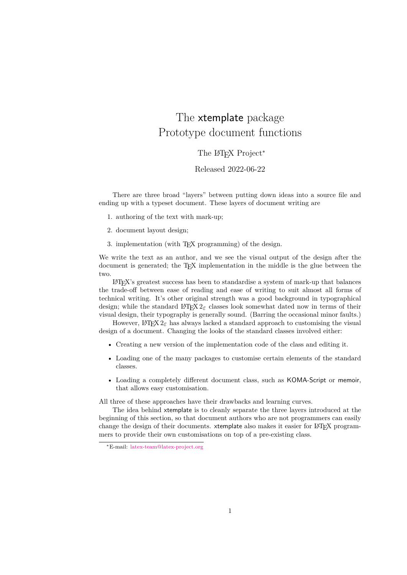# The xtemplate package Prototype document functions

The L<sup>AT</sup>EX Project<sup>\*</sup>

Released 2022-06-22

There are three broad "layers" between putting down ideas into a source file and ending up with a typeset document. These layers of document writing are

- 1. authoring of the text with mark-up;
- 2. document layout design;
- 3. implementation (with T<sub>EX</sub> programming) of the design.

We write the text as an author, and we see the visual output of the design after the document is generated; the T<sub>E</sub>X implementation in the middle is the glue between the two.

LATEX's greatest success has been to standardise a system of mark-up that balances the trade-off between ease of reading and ease of writing to suit almost all forms of technical writing. It's other original strength was a good background in typographical design; while the standard LATEX 2*ε* classes look somewhat dated now in terms of their visual design, their typography is generally sound. (Barring the occasional minor faults.)

However, LATEX  $2\varepsilon$  has always lacked a standard approach to customising the visual design of a document. Changing the looks of the standard classes involved either:

- Creating a new version of the implementation code of the class and editing it.
- Loading one of the many packages to customise certain elements of the standard classes.
- Loading a completely different document class, such as KOMA-Script or memoir, that allows easy customisation.

All three of these approaches have their drawbacks and learning curves.

The idea behind xtemplate is to cleanly separate the three layers introduced at the beginning of this section, so that document authors who are not programmers can easily change the design of their documents. xtemplate also makes it easier for L<sup>AT</sup>EX programmers to provide their own customisations on top of a pre-existing class.

<sup>∗</sup>E-mail: [latex-team@latex-project.org](mailto:latex-team@latex-project.org)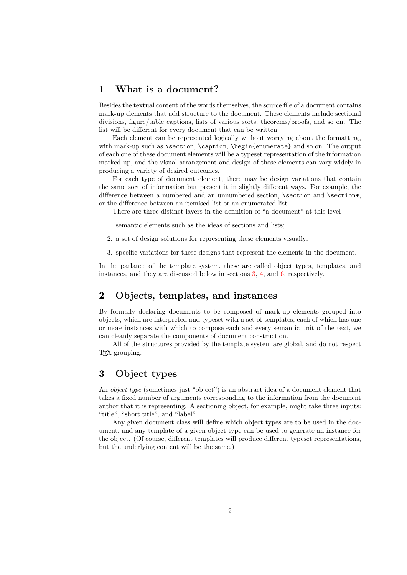## <span id="page-1-1"></span>**1 What is a document?**

Besides the textual content of the words themselves, the source file of a document contains mark-up elements that add structure to the document. These elements include sectional divisions, figure/table captions, lists of various sorts, theorems/proofs, and so on. The list will be different for every document that can be written.

Each element can be represented logically without worrying about the formatting, with mark-up such as \section, \caption, \begin{enumerate} and so on. The output of each one of these document elements will be a typeset representation of the information marked up, and the visual arrangement and design of these elements can vary widely in producing a variety of desired outcomes.

For each type of document element, there may be design variations that contain the same sort of information but present it in slightly different ways. For example, the difference between a numbered and an unnumbered section, \section and \section\*, or the difference between an itemised list or an enumerated list.

There are three distinct layers in the definition of "a document" at this level

- 1. semantic elements such as the ideas of sections and lists;
- 2. a set of design solutions for representing these elements visually;
- 3. specific variations for these designs that represent the elements in the document.

In the parlance of the template system, these are called object types, templates, and instances, and they are discussed below in sections [3,](#page-1-0) [4,](#page-2-0) and [6,](#page-6-0) respectively.

## **2 Objects, templates, and instances**

By formally declaring documents to be composed of mark-up elements grouped into objects, which are interpreted and typeset with a set of templates, each of which has one or more instances with which to compose each and every semantic unit of the text, we can cleanly separate the components of document construction.

All of the structures provided by the template system are global, and do not respect T<sub>EX</sub> grouping.

#### <span id="page-1-0"></span>**3 Object types**

An *object type* (sometimes just "object") is an abstract idea of a document element that takes a fixed number of arguments corresponding to the information from the document author that it is representing. A sectioning object, for example, might take three inputs: "title", "short title", and "label".

Any given document class will define which object types are to be used in the document, and any template of a given object type can be used to generate an instance for the object. (Of course, different templates will produce different typeset representations, but the underlying content will be the same.)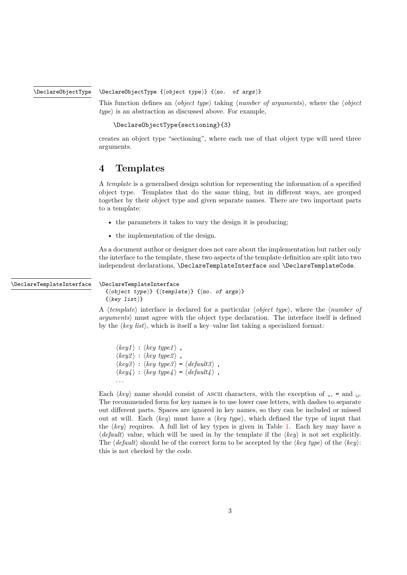\DeclareObjectType

<span id="page-2-1"></span>\DeclareObjectType {⟨object type⟩} {⟨no. of args⟩}

This function defines an ⟨*object type*⟩ taking ⟨*number of arguments*⟩, where the ⟨*object type*⟩ is an abstraction as discussed above. For example,

```
\DeclareObjectType{sectioning}{3}
```
creates an object type "sectioning", where each use of that object type will need three arguments.

#### <span id="page-2-0"></span>**4 Templates**

A *template* is a generalised design solution for representing the information of a specified object type. Templates that do the same thing, but in different ways, are grouped together by their object type and given separate names. There are two important parts to a template:

- the parameters it takes to vary the design it is producing:
- the implementation of the design.

As a document author or designer does not care about the implementation but rather only the interface to the template, these two aspects of the template definition are split into two independent declarations, \DeclareTemplateInterface and \DeclareTemplateCode.

#### \DeclareTemplateInterface

```
\DeclareTemplateInterface
  {⟨object type⟩} {⟨template⟩} {⟨no. of args⟩}
  \{\langle \text{key list} \rangle\}
```
A ⟨*template*⟩ interface is declared for a particular ⟨*object type*⟩, where the ⟨*number of arguments*⟩ must agree with the object type declaration. The interface itself is defined by the ⟨*key list*⟩, which is itself a key–value list taking a specialized format:

```
\langle key1 \rangle : \langle key \ type1 \rangle,
\langle key2 \rangle : \langle key \ type2 \rangle,
\langle key3 \rangle : \langle key\ type3 \rangle = \langle default3 \rangle,
\langle key4 \rangle : \langle key\ type4 \rangle = \langle default4 \rangle,
. . .
```
Each  $\langle key \rangle$  name should consist of ASCII characters, with the exception of ,, = and  $\Box$ . The recommended form for key names is to use lower case letters, with dashes to separate out different parts. Spaces are ignored in key names, so they can be included or missed out at will. Each ⟨*key*⟩ must have a ⟨*key type*⟩, which defined the type of input that the ⟨*key*⟩ requires. A full list of key types is given in Table [1.](#page-3-0) Each key may have a ⟨*default*⟩ value, which will be used in by the template if the ⟨*key*⟩ is not set explicitly. The ⟨*default*⟩ should be of the correct form to be accepted by the ⟨*key type*⟩ of the ⟨*key*⟩: this is not checked by the code.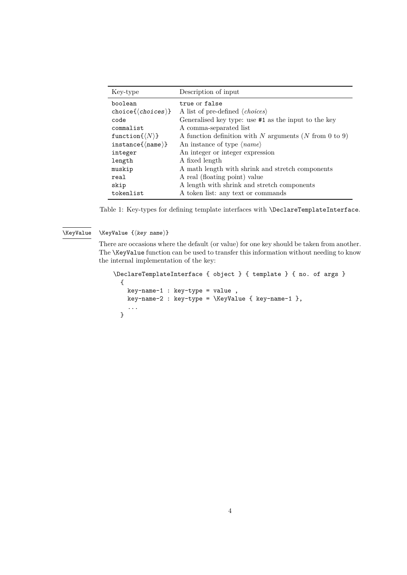<span id="page-3-1"></span>

| Key-type                        | Description of input                                   |
|---------------------------------|--------------------------------------------------------|
| boolean                         | true or false                                          |
| $choice({\it choices})$         | A list of pre-defined $\langle choices \rangle$        |
| code                            | Generalised key type: use #1 as the input to the key   |
| commalist                       | A comma-separated list                                 |
| function $\{\langle N\rangle\}$ | A function definition with N arguments (N from 0 to 9) |
| $instance({\text{name}})$       | An instance of type $\langle name \rangle$             |
| integer                         | An integer or integer expression                       |
| length                          | A fixed length                                         |
| muskip                          | A math length with shrink and stretch components       |
| real                            | A real (floating point) value                          |
| skip                            | A length with shrink and stretch components            |
| tokenlist                       | A token list: any text or commands                     |

<span id="page-3-0"></span>Table 1: Key-types for defining template interfaces with **\DeclareTemplateInterface**.

#### \KeyValue {⟨key name⟩} \KeyValue

There are occasions where the default (or value) for one key should be taken from another. The \KeyValue function can be used to transfer this information without needing to know the internal implementation of the key:

```
\DeclareTemplateInterface { object } { template } { no. of args }
 {
   key-name-1 : key-type = value ,
   key-name-2 : key-type = \KeyValue { key-name-1 },
    ...
 }
```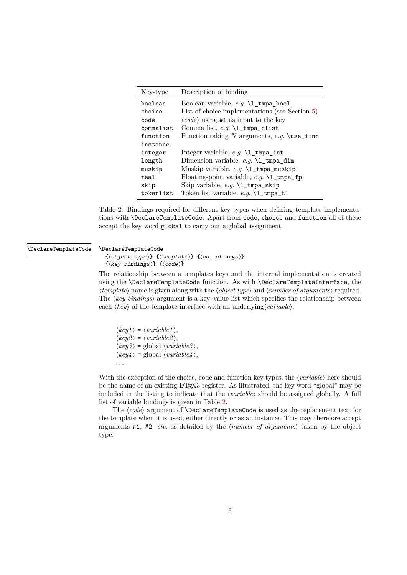<span id="page-4-1"></span>

| Key-type  | Description of binding                                               |
|-----------|----------------------------------------------------------------------|
| boolean   | Boolean variable, e.g. \1_tmpa_bool                                  |
| choice    | List of choice implementations (see Section $5$ )                    |
| code      | $\langle code \rangle$ using #1 as input to the key                  |
| commalist |                                                                      |
| function  | Function taking N arguments, e.g. $\text{use}_i: \text{nn}$          |
| instance  |                                                                      |
| integer   | Integer variable, $e.g. \lvert \mathcal{L}_{\text{impa\_int}}\rvert$ |
| length    | Dimension variable, e.g. \1_tmpa_dim                                 |
| muskip    |                                                                      |
| real      | Floating-point variable, e.g. \1_tmpa_fp                             |
| skip      | Skip variable, e.g. $\lceil \log_2 \cdot \rceil$ tmpa_skip           |
| tokenlist | Token list variable, e.g. \1_tmpa_t1                                 |

<span id="page-4-0"></span>Table 2: Bindings required for different key types when defining template implementations with \DeclareTemplateCode. Apart from code, choice and function all of these accept the key word global to carry out a global assignment.

#### \DeclareTemplateCode \DeclareTemplateCode

```
\{\langle object\ type\rangle\} \{\langle template\rangle\} \{\langle no.\ of\ args\rangle\}{⟨key bindings⟩} {⟨code⟩}
```
The relationship between a templates keys and the internal implementation is created using the \DeclareTemplateCode function. As with \DeclareTemplateInterface, the ⟨*template*⟩ name is given along with the ⟨*object type*⟩ and ⟨*number of arguments*⟩ required. The ⟨*key bindings*⟩ argument is a key–value list which specifies the relationship between each ⟨*key*⟩ of the template interface with an underlying⟨*variable*⟩.

 $\langle key1 \rangle = \langle variable1 \rangle,$  $\langle key2 \rangle = \langle variable2 \rangle,$  $\langle key3 \rangle$  = global  $\langle variable3 \rangle$ ,  $\langle key4 \rangle$  = global  $\langle variable4 \rangle$ , . . .

With the exception of the choice, code and function key types, the  $\langle variable \rangle$  here should be the name of an existing LAT<sub>EX3</sub> register. As illustrated, the key word "global" may be included in the listing to indicate that the ⟨*variable*⟩ should be assigned globally. A full list of variable bindings is given in Table [2.](#page-4-0)

The  $\langle code \rangle$  argument of **\DeclareTemplateCode** is used as the replacement text for the template when it is used, either directly or as an instance. This may therefore accept arguments #1, #2, *etc*. as detailed by the ⟨*number of arguments*⟩ taken by the object type.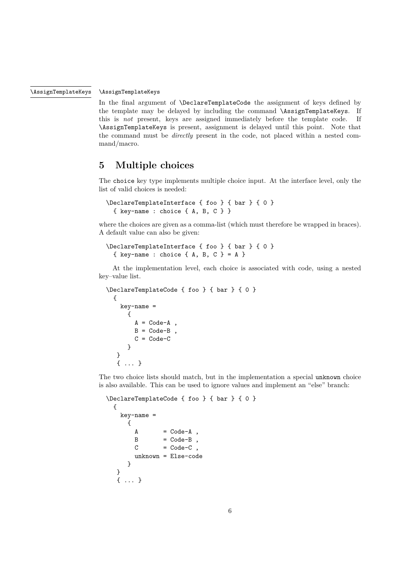#### \AssignTemplateKeys

<span id="page-5-1"></span>\AssignTemplateKeys

In the final argument of \DeclareTemplateCode the assignment of keys defined by the template may be delayed by including the command **\AssignTemplateKeys**. If this is *not* present, keys are assigned immediately before the template code. If \AssignTemplateKeys is present, assignment is delayed until this point. Note that the command must be *directly* present in the code, not placed within a nested command/macro.

#### <span id="page-5-0"></span>**5 Multiple choices**

The choice key type implements multiple choice input. At the interface level, only the list of valid choices is needed:

```
\DeclareTemplateInterface { foo } { bar } { 0 }
  { key-name : choice { A, B, C } }
```
where the choices are given as a comma-list (which must therefore be wrapped in braces). A default value can also be given:

```
\DeclareTemplateInterface { foo } { bar } { 0 }
  \{ \text{key-name : choice } \{ A, B, C \} = A \}
```
At the implementation level, each choice is associated with code, using a nested key–value list.

```
\DeclareTemplateCode { foo } { bar } { 0 }
  {
   key-name =
      {
       A = Code - AB = Code-B,
        C = Code-C}
   }
   { ... }
```
The two choice lists should match, but in the implementation a special unknown choice is also available. This can be used to ignore values and implement an "else" branch:

```
\DeclareTemplateCode { foo } { bar } { 0 }
 {
   key-name =
     {
      A = Code - AB = Code-BC = Code-Cunknown = Else-code
     }
  }
  { ... }
```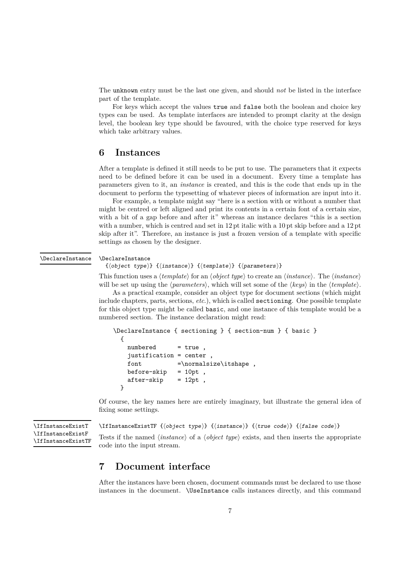<span id="page-6-1"></span>The unknown entry must be the last one given, and should *not* be listed in the interface part of the template.

For keys which accept the values true and false both the boolean and choice key types can be used. As template interfaces are intended to prompt clarity at the design level, the boolean key type should be favoured, with the choice type reserved for keys which take arbitrary values.

#### <span id="page-6-0"></span>**6 Instances**

After a template is defined it still needs to be put to use. The parameters that it expects need to be defined before it can be used in a document. Every time a template has parameters given to it, an *instance* is created, and this is the code that ends up in the document to perform the typesetting of whatever pieces of information are input into it.

For example, a template might say "here is a section with or without a number that might be centred or left aligned and print its contents in a certain font of a certain size, with a bit of a gap before and after it" whereas an instance declares "this is a section with a number, which is centred and set in 12 pt italic with a 10 pt skip before and a 12 pt skip after it". Therefore, an instance is just a frozen version of a template with specific settings as chosen by the designer.

#### \DeclareInstance \DeclareInstance

```
{⟨object type⟩} {⟨instance⟩} {⟨template⟩} {⟨parameters⟩}
```
This function uses a ⟨*template*⟩ for an ⟨*object type*⟩ to create an ⟨*instance*⟩. The ⟨*instance*⟩ will be set up using the ⟨*parameters*⟩, which will set some of the ⟨*keys*⟩ in the ⟨*template*⟩.

As a practical example, consider an object type for document sections (which might include chapters, parts, sections, *etc*.), which is called sectioning. One possible template for this object type might be called basic, and one instance of this template would be a numbered section. The instance declaration might read:

```
\DeclareInstance { sectioning } { section-num } { basic }
  {
    numbered = true,
    justification = center ,
    font \n= \normalfont \newline \text{allsize} \text{ is } \ldots \text{.}before-skip = 10pt,
    after-skip = 12pt,
  }
```
Of course, the key names here are entirely imaginary, but illustrate the general idea of fixing some settings.

```
\IfInstanceExistT
\IfInstanceExistF
\IfInstanceExistTF
```

```
\IfInstanceExistTF {⟨object type⟩} {⟨instance⟩} {⟨true code⟩} {⟨false code⟩}
```
Tests if the named ⟨*instance*⟩ of a ⟨*object type*⟩ exists, and then inserts the appropriate code into the input stream.

### **7 Document interface**

After the instances have been chosen, document commands must be declared to use those instances in the document. \UseInstance calls instances directly, and this command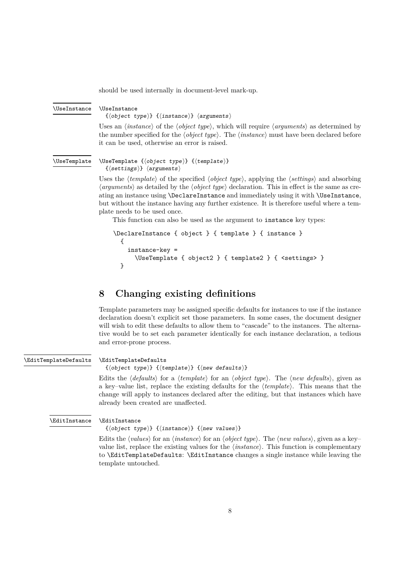<span id="page-7-0"></span>should be used internally in document-level mark-up.

#### \UseInstance \UseInstance

{⟨object type⟩} {⟨instance⟩} ⟨arguments⟩

Uses an ⟨*instance*⟩ of the ⟨*object type*⟩, which will require ⟨*arguments*⟩ as determined by the number specified for the ⟨*object type*⟩. The ⟨*instance*⟩ must have been declared before it can be used, otherwise an error is raised.

#### \UseTemplate

```
\UseTemplate {⟨object type⟩} {⟨template⟩}
 {⟨settings⟩} ⟨arguments⟩
```
Uses the ⟨*template*⟩ of the specified ⟨*object type*⟩, applying the ⟨*settings*⟩ and absorbing ⟨*arguments*⟩ as detailed by the ⟨*object type*⟩ declaration. This in effect is the same as creating an instance using \DeclareInstance and immediately using it with \UseInstance, but without the instance having any further existence. It is therefore useful where a template needs to be used once.

This function can also be used as the argument to instance key types:

```
\DeclareInstance { object } { template } { instance }
  {
    instance-key =
      \UseTemplate { object2 } { template2 } { <settings> }
  }
```
#### **8 Changing existing definitions**

Template parameters may be assigned specific defaults for instances to use if the instance declaration doesn't explicit set those parameters. In some cases, the document designer will wish to edit these defaults to allow them to "cascade" to the instances. The alternative would be to set each parameter identically for each instance declaration, a tedious and error-prone process.

\EditTemplateDefaults

#### \EditTemplateDefaults

{⟨object type⟩} {⟨template⟩} {⟨new defaults⟩}

Edits the ⟨*defaults*⟩ for a ⟨*template*⟩ for an ⟨*object type*⟩. The ⟨*new defaults*⟩, given as a key–value list, replace the existing defaults for the ⟨*template*⟩. This means that the change will apply to instances declared after the editing, but that instances which have already been created are unaffected.

\EditInstance

\EditInstance

{⟨object type⟩} {⟨instance⟩} {⟨new values⟩}

Edits the ⟨*values*⟩ for an ⟨*instance*⟩ for an ⟨*object type*⟩. The ⟨*new values*⟩, given as a key– value list, replace the existing values for the ⟨*instance*⟩. This function is complementary to \EditTemplateDefaults: \EditInstance changes a single instance while leaving the template untouched.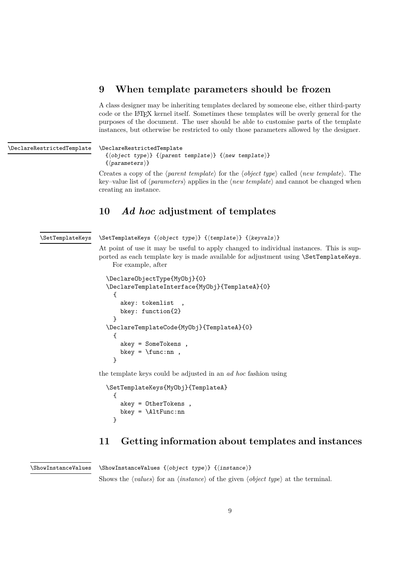## <span id="page-8-0"></span>**9 When template parameters should be frozen**

A class designer may be inheriting templates declared by someone else, either third-party code or the LATEX kernel itself. Sometimes these templates will be overly general for the purposes of the document. The user should be able to customise parts of the template instances, but otherwise be restricted to only those parameters allowed by the designer.

| \DeclareRestrictedTemplate | \DeclareRestrictedTemplate<br>$\{\langle object\ type\rangle\}$ $\{\langle parent\ template\rangle\}$ $\{\langle new\ template\rangle\}$<br>$\{ \langle parameters \rangle \}$                                                                                                                    |
|----------------------------|---------------------------------------------------------------------------------------------------------------------------------------------------------------------------------------------------------------------------------------------------------------------------------------------------|
|                            | Creates a copy of the $\langle parent\ template \rangle$ for the $\langle object\ type \rangle$ called $\langle new\ template \rangle$ . The<br>key-value list of $\langle parameters \rangle$ applies in the $\langle new\ template \rangle$ and cannot be changed when<br>creating an instance. |

### **10** *Ad hoc* **adjustment of templates**

\SetTemplateKeys

\SetTemplateKeys {⟨object type⟩} {⟨template⟩} {⟨keyvals⟩}

At point of use it may be useful to apply changed to individual instances. This is supported as each template key is made available for adjustment using \SetTemplateKeys. For example, after

```
\DeclareObjectType{MyObj}{0}
\DeclareTemplateInterface{MyObj}{TemplateA}{0}
  {
    akey: tokenlist
    bkey: function{2}
  }
\DeclareTemplateCode{MyObj}{TemplateA}{0}
  {
    akey = SomeTokens ,
    bkey = \times:nn,
  }
```
the template keys could be adjusted in an *ad hoc* fashion using

```
\SetTemplateKeys{MyObj}{TemplateA}
  {
    akey = OtherTokens ,
    bkey = \lambdaltFunc:nn
  }
```
## **11 Getting information about templates and instances**

\ShowInstanceValues

\ShowInstanceValues {⟨object type⟩} {⟨instance⟩}

Shows the  $\langle values \rangle$  for an  $\langle instance \rangle$  of the given  $\langle object\ type \rangle$  at the terminal.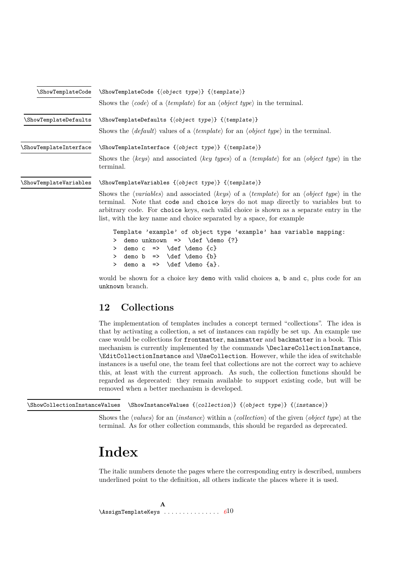<span id="page-9-0"></span>

|                        | $\ShowTemplateCode \ShowTemplateCode \{ \; object \; type \} \; {\{ \; template \} }$                                                                                                                                                                                                                                                         |  |
|------------------------|-----------------------------------------------------------------------------------------------------------------------------------------------------------------------------------------------------------------------------------------------------------------------------------------------------------------------------------------------|--|
|                        | Shows the $\langle code \rangle$ of a $\langle template \rangle$ for an $\langle object\ type \rangle$ in the terminal.                                                                                                                                                                                                                       |  |
| \ShowTemplateDefaults  | $\mathcal{S}$ howTemplateDefaults $\{ \langle object \ type \rangle \} \ \{ \langle template \rangle \}$                                                                                                                                                                                                                                      |  |
|                        | Shows the $\langle$ default) values of a $\langle$ template) for an $\langle$ object type) in the terminal.                                                                                                                                                                                                                                   |  |
| \ShowTemplateInterface | $\verb \ShowTemplateInterface {object type} {{{template}}$                                                                                                                                                                                                                                                                                    |  |
|                        | Shows the $\langle keys \rangle$ and associated $\langle key \text{ types} \rangle$ of a $\langle template \rangle$ for an $\langle object \text{ type} \rangle$ in the<br>terminal.                                                                                                                                                          |  |
| \ShowTemplateVariables | \ShowTemplateVariables {\doject type}} {\template}}                                                                                                                                                                                                                                                                                           |  |
|                        | Shows the (variables) and associated (keys) of a (template) for an (object type) in the<br>terminal. Note that code and choice keys do not map directly to variables but to<br>arbitrary code. For choice keys, each valid choice is shown as a separate entry in the<br>list, with the key name and choice separated by a space, for example |  |
|                        | Template 'example' of object type 'example' has variable mapping:<br>demo unknown => $\def \de \def \def \]$<br>><br>demo $c \Rightarrow \text{def } \text{ } c$<br>≻<br>demo $b \Rightarrow \text{def} \text{ } \text{ } b$<br>≻<br>> demo a => \def \demo {a}.                                                                              |  |

would be shown for a choice key demo with valid choices a, b and c, plus code for an unknown branch.

## **12 Collections**

The implementation of templates includes a concept termed "collections". The idea is that by activating a collection, a set of instances can rapidly be set up. An example use case would be collections for frontmatter, mainmatter and backmatter in a book. This mechanism is currently implemented by the commands \DeclareCollectionInstance, \EditCollectionInstance and \UseCollection. However, while the idea of switchable instances is a useful one, the team feel that collections are not the correct way to achieve this, at least with the current approach. As such, the collection functions should be regarded as deprecated: they remain available to support existing code, but will be removed when a better mechanism is developed.

\ShowCollectionInstanceValues \ShowInstanceValues {⟨collection⟩} {⟨object type⟩} {⟨instance⟩}

Shows the ⟨*values*⟩ for an ⟨*instance*⟩ within a ⟨*collection*⟩ of the given ⟨*object type*⟩ at the terminal. As for other collection commands, this should be regarded as deprecated.

# **Index**

The italic numbers denote the pages where the corresponding entry is described, numbers underlined point to the definition, all others indicate the places where it is used.

**A** \AssignTemplateKeys . . . . . . . . . . . . . . . *[6](#page-5-1)*10